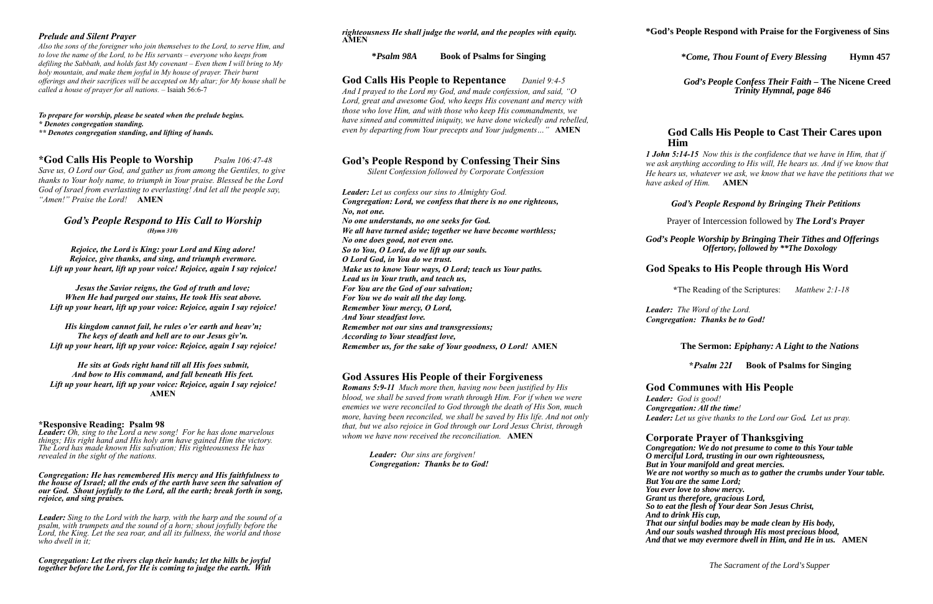## *Prelude and Silent Prayer*

*Also the sons of the foreigner who join themselves to the Lord, to serve Him, and to love the name of the Lord, to be His servants – everyone who keeps from defiling the Sabbath, and holds fast My covenant – Even them I will bring to My holy mountain, and make them joyful in My house of prayer. Their burnt offerings and their sacrifices will be accepted on My altar; for My house shall be called a house of prayer for all nations. –* Isaiah 56:6-7

*To prepare for worship, please be seated when the prelude begins. \* Denotes congregation standing.*

*\*\* Denotes congregation standing, and lifting of hands.* 

## **\*God Calls His People to Worship** *Psalm 106:47-48*

*Save us, O Lord our God, and gather us from among the Gentiles, to give thanks to Your holy name, to triumph in Your praise. Blessed be the Lord God of Israel from everlasting to everlasting! And let all the people say, "Amen!" Praise the Lord!* **AMEN**

## *God's People Respond to His Call to Worship (Hymn 310)*

*Rejoice, the Lord is King: your Lord and King adore! Rejoice, give thanks, and sing, and triumph evermore. Lift up your heart, lift up your voice! Rejoice, again I say rejoice!*

*Jesus the Savior reigns, the God of truth and love; When He had purged our stains, He took His seat above. Lift up your heart, lift up your voice: Rejoice, again I say rejoice!*

*His kingdom cannot fail, he rules o'er earth and heav'n; The keys of death and hell are to our Jesus giv'n. Lift up your heart, lift up your voice: Rejoice, again I say rejoice!*

*He sits at Gods right hand till all His foes submit, And bow to His command, and fall beneath His feet. Lift up your heart, lift up your voice: Rejoice, again I say rejoice!* **AMEN**

#### **\*Responsive Reading: Psalm 98**

*Leader: Oh, sing to the Lord a new song! For he has done marvelous things; His right hand and His holy arm have gained Him the victory. The Lord has made known His salvation; His righteousness He has revealed in the sight of the nations.*

*Congregation: He has remembered His mercy and His faithfulness to the house of Israel; all the ends of the earth have seen the salvation of our God. Shout joyfully to the Lord, all the earth; break forth in song, rejoice, and sing praises.*

*Leader: Sing to the Lord with the harp, with the harp and the sound of a psalm, with trumpets and the sound of a horn; shout joyfully before the Lord, the King. Let the sea roar, and all its fullness, the world and those who dwell in it;*

*Congregation: Let the rivers clap their hands; let the hills be joyful together before the Lord, for He is coming to judge the earth. With* 

*righteousness He shall judge the world, and the peoples with equity.* **AMEN**

 **\****Psalm 98A* **Book of Psalms for Singing**

**God Calls His People to Repentance** *Daniel 9:4-5 And I prayed to the Lord my God, and made confession, and said, "O Lord, great and awesome God, who keeps His covenant and mercy with those who love Him, and with those who keep His commandments, we have sinned and committed iniquity, we have done wickedly and rebelled, even by departing from Your precepts and Your judgments…"* **AMEN**

| <b>God's People Respond by Confessing Their Sins</b><br>Silent Confession followed by Corporate Confession |  |
|------------------------------------------------------------------------------------------------------------|--|
| <b>Leader:</b> Let us confess our sins to Almighty God.                                                    |  |
| Congregation: Lord, we confess that there is no one righteous,                                             |  |
| No, not one.                                                                                               |  |
| No one understands, no one seeks for God.                                                                  |  |
| We all have turned aside; together we have become worthless;                                               |  |
| No one does good, not even one.                                                                            |  |
| So to You, O Lord, do we lift up our souls.                                                                |  |
| O Lord God, in You do we trust.                                                                            |  |
| Make us to know Your ways, O Lord; teach us Your paths.                                                    |  |
| Lead us in Your truth, and teach us,                                                                       |  |
| <b>For You are the God of our salvation;</b>                                                               |  |
| For You we do wait all the day long.                                                                       |  |
| Remember Your mercy, O Lord,                                                                               |  |
| And Your steadfast love.                                                                                   |  |
| <b>Remember not our sins and transgressions;</b>                                                           |  |
| <i>According to Your steadfast love,</i>                                                                   |  |
| Remember us, for the sake of Your goodness, O Lord! AMEN                                                   |  |

# **God Assures His People of their Forgiveness**

*Romans 5:9-11 Much more then, having now been justified by His blood, we shall be saved from wrath through Him. For if when we were enemies we were reconciled to God through the death of His Son, much more, having been reconciled, we shall be saved by His life. And not only that, but we also rejoice in God through our Lord Jesus Christ, through whom we have now received the reconciliation.* **AMEN**

> *Leader: Our sins are forgiven! Congregation: Thanks be to God!*

## **\****Come, Thou Fount of Every Blessing* **Hymn 457**

 *God's People Confess Their Faith –* **The Nicene Creed**  *Trinity Hymnal, page 846*

# **God Calls His People to Cast Their Cares upon Him** *1 John 5:14-15 Now this is the confidence that we have in Him, that if we ask anything according to His will, He hears us. And if we know that*

*He hears us, whatever we ask, we know that we have the petitions that we have asked of Him.* **AMEN**

## *God's People Respond by Bringing Their Petitions*

Prayer of Intercession followed by *The Lord's Prayer*

#### *God's People Worship by Bringing Their Tithes and Offerings Offertory, followed by \*\*The Doxology*

# **God Speaks to His People through His Word**

 **\***The Reading of the Scriptures: *Matthew 2:1-18*

*Leader:**The Word of the Lord. Congregation: Thanks be to God!*

### **The Sermon:** *Epiphany: A Light to the Nations*

### **\****Psalm 22I* **Book of Psalms for Singing**

# **God Communes with His People**

*Leader: God is good! Congregation: All the time! Leader: Let us give thanks to the Lord our God. Let us pray.*

# **Corporate Prayer of Thanksgiving**

*Congregation: We do not presume to come to this Your table O merciful Lord, trusting in our own righteousness, But in Your manifold and great mercies. We are not worthy so much as to gather the crumbs under Your table. But You are the same Lord; You ever love to show mercy. Grant us therefore, gracious Lord, So to eat the flesh of Your dear Son Jesus Christ, And to drink His cup, That our sinful bodies may be made clean by His body, And our souls washed through His most precious blood, And that we may evermore dwell in Him, and He in us.* **AMEN**

 *The Sacrament of the Lord's Supper*